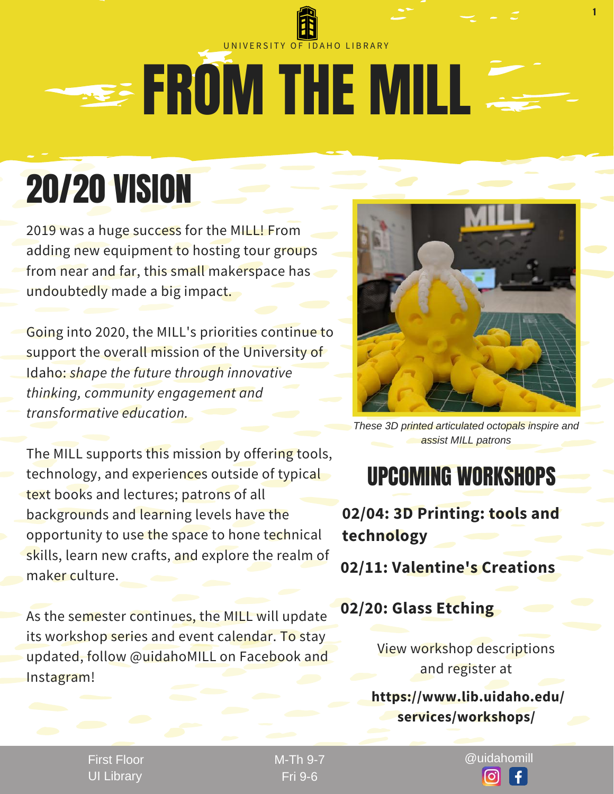## **SEE FROM THE MILL** UNIVERSITY OF IDAHO LIBRARY

# 20/20 VISION

2019 was a huge success for the MILL! From adding new equipment to hosting tour groups from near and far, this small makerspace has undoubtedly made a big impact.

Going into 2020, the MILL's priorities continue to support the overall mission of the University of Idaho: *shape the future through innovative thinking, community engagement and transformative education.*

The MILL supports this mission by offering tools, technology, and experiences outside of typical text books and lectures; patrons of all backgrounds and learning levels have the opportunity to use the space to hone technical skills, learn new crafts, and explore the realm of maker culture.

As the semester continues, the MILL will update its workshop series and event calendar. To stay updated, follow @uidahoMILL on Facebook and Instagram!



1

*These 3D printed articulated octopals inspire and assist MILL patrons*

### UPCOMING WORKSHOPS

**02/04: 3D Printing: tools and technology**

**02/11: Valentine's Creations**

#### **02/20: Glass Etching**

View workshop descriptions and register at

**https://www.lib.uidaho.edu/ services/workshops/**

First Floor UI Library

Fri 9-6